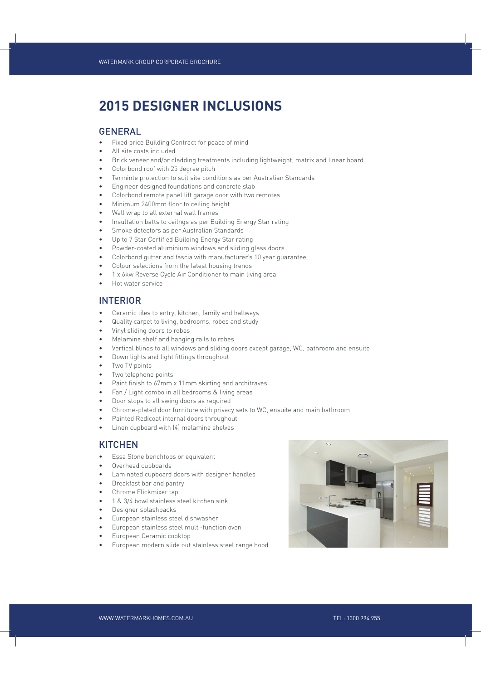# **2015 DESIGNER INCLUSIONS**

#### GENERAL

- Fixed price Building Contract for peace of mind
- All site costs included
- Brick veneer and/or cladding treatments including lightweight, matrix and linear board
- Colorbond roof with 25 degree pitch
- Terminte protection to suit site conditions as per Australian Standards
- Engineer designed foundations and concrete slab
- Colorbond remote panel lift garage door with two remotes
- Minimum 2400mm floor to ceiling height
- Wall wrap to all external wall frames
- Insultation batts to ceilngs as per Building Energy Star rating
- Smoke detectors as per Australian Standards
- Up to 7 Star Certified Building Energy Star rating
- Powder-coated aluminium windows and sliding glass doors
- Colorbond gutter and fascia with manufacturer's 10 year guarantee
- Colour selections from the latest housing trends
- 1 x 6kw Reverse Cycle Air Conditioner to main living area
- Hot water service

#### INTERIOR

- Ceramic tiles to entry, kitchen, family and hallways
- Quality carpet to living, bedrooms, robes and study
- Vinyl sliding doors to robes
- Melamine shelf and hanging rails to robes
- Vertical blinds to all windows and sliding doors except garage, WC, bathroom and ensuite
- Down lights and light fittings throughout
- Two TV points
- Two telephone points
- Paint finish to 67mm x 11mm skirting and architraves
- Fan / Light combo in all bedrooms & living areas
- Door stops to all swing doors as required
- Chrome-plated door furniture with privacy sets to WC, ensuite and main bathroom
- Painted Redicoat internal doors throughout
- Linen cupboard with (4) melamine shelves

### **KITCHEN**

- Essa Stone benchtops or equivalent
- Overhead cupboards
- Laminated cupboard doors with designer handles
- Breakfast bar and pantry
- Chrome Flickmixer tap
- 1 & 3/4 bowl stainless steel kitchen sink
- Designer splashbacks
- European stainless steel dishwasher
- European stainless steel multi-function oven
- European Ceramic cooktop
- European modern slide out stainless steel range hood